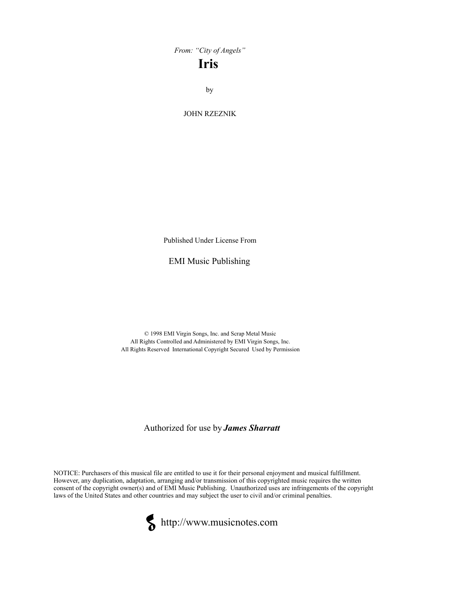*From: "City of Angels"* 

## **Iris**

by

JOHN RZEZNIK

Published Under License From

EMI Music Publishing

© 1998 EMI Virgin Songs, Inc. and Scrap Metal Music All Rights Controlled and Administered by EMI Virgin Songs, Inc. All Rights Reserved International Copyright Secured Used by Permission

Authorized for use by *James Sharratt* 

NOTICE: Purchasers of this musical file are entitled to use it for their personal enjoyment and musical fulfillment. However, any duplication, adaptation, arranging and/or transmission of this copyrighted music requires the written consent of the copyright owner(s) and of EMI Music Publishing. Unauthorized uses are infringements of the copyright laws of the United States and other countries and may subject the user to civil and/or criminal penalties.

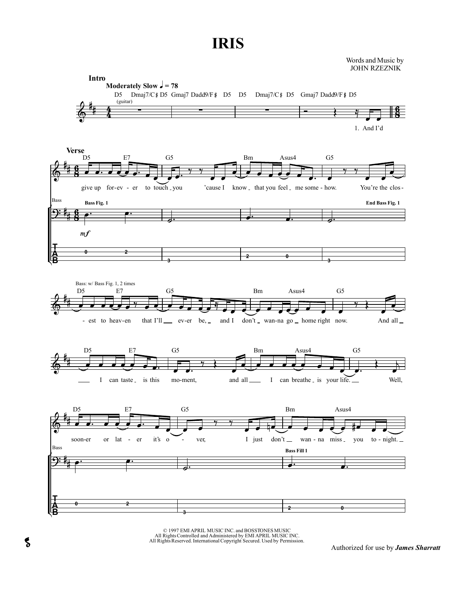**IRIS** 

Words and Music by JOHN RZEZNIK



© 1997 EMI APRIL MUSIC INC. and BOSSTONES MUSIC<br>All Rights Controlled and Administered by EMI APRIL MUSIC INC.<br>All Rights Reserved. International Copyright Secured. Used by Permission.

Authorized for use by *James Sharratt*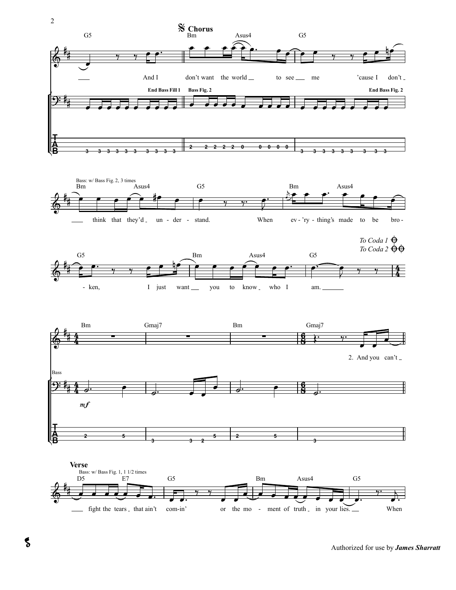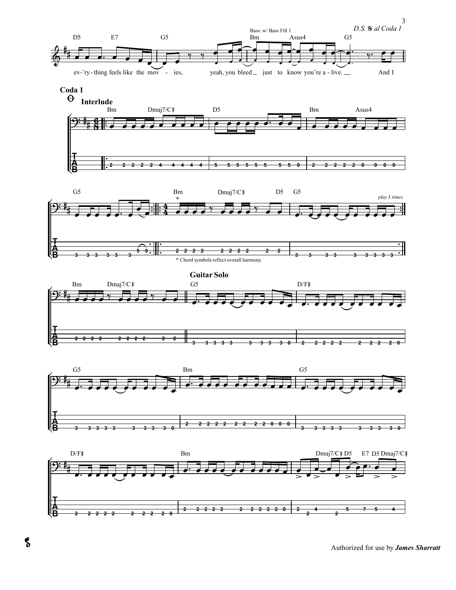